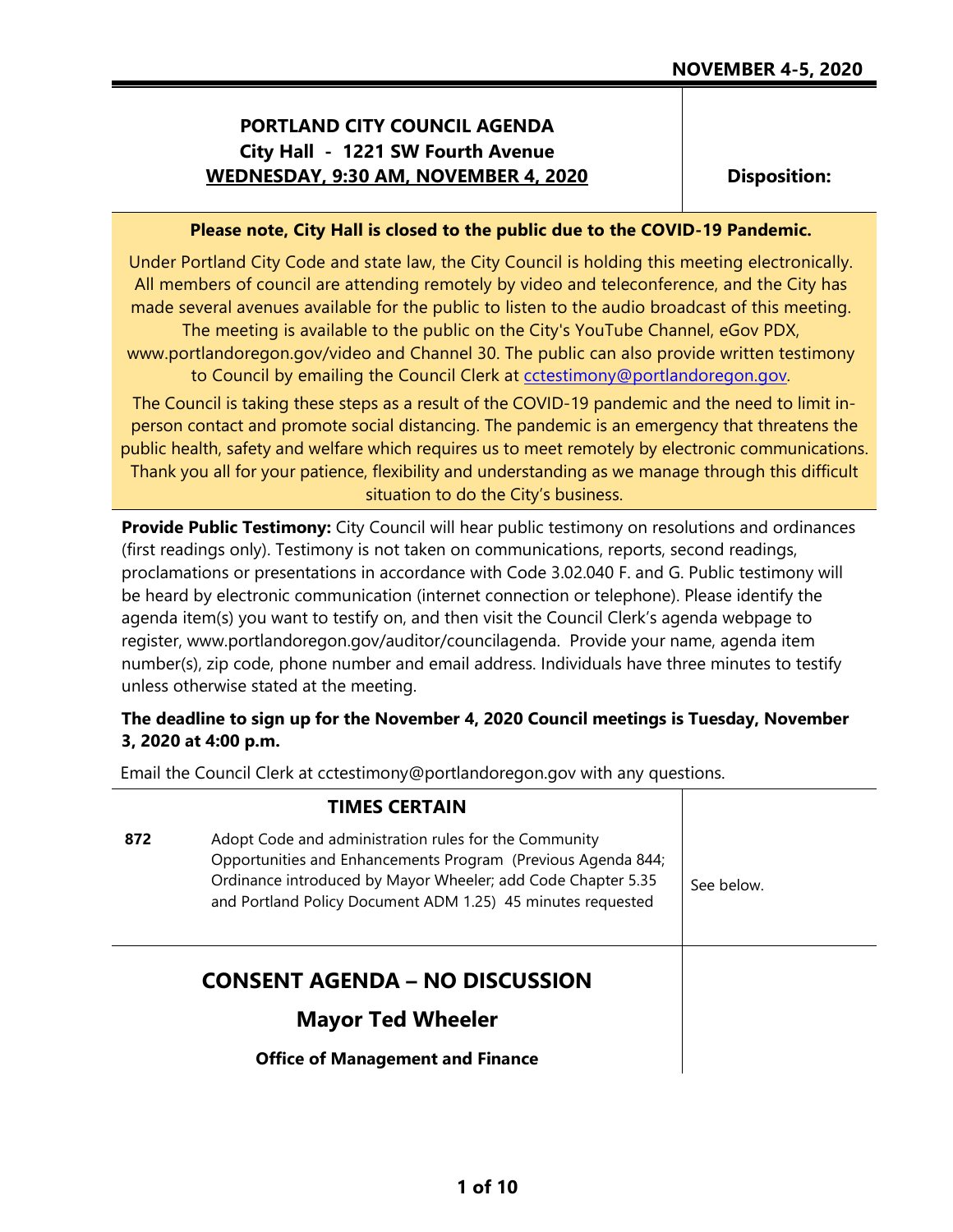# **PORTLAND CITY COUNCIL AGENDA City Hall - 1221 SW Fourth Avenue WEDNESDAY, 9:30 AM, NOVEMBER 4, 2020**

**Disposition:**

#### **Please note, City Hall is closed to the public due to the COVID-19 Pandemic.**

Under Portland City Code and state law, the City Council is holding this meeting electronically. All members of council are attending remotely by video and teleconference, and the City has made several avenues available for the public to listen to the audio broadcast of this meeting. The meeting is available to the public on the City's YouTube Channel, eGov PDX, www.portlandoregon.gov/video and Channel 30. The public can also provide written testimony to Council by emailing the Council Clerk at [cctestimony@portlandoregon.gov.](mailto:cctestimony@portlandoregon.gov)

The Council is taking these steps as a result of the COVID-19 pandemic and the need to limit inperson contact and promote social distancing. The pandemic is an emergency that threatens the public health, safety and welfare which requires us to meet remotely by electronic communications. Thank you all for your patience, flexibility and understanding as we manage through this difficult situation to do the City's business.

**Provide Public Testimony:** City Council will hear public testimony on resolutions and ordinances (first readings only). Testimony is not taken on communications, reports, second readings, proclamations or presentations in accordance with Code 3.02.040 F. and G. Public testimony will be heard by electronic communication (internet connection or telephone). Please identify the agenda item(s) you want to testify on, and then visit the Council Clerk's agenda webpage to register, www.portlandoregon.gov/auditor/councilagenda. Provide your name, agenda item number(s), zip code, phone number and email address. Individuals have three minutes to testify unless otherwise stated at the meeting.

# **The deadline to sign up for the November 4, 2020 Council meetings is Tuesday, November 3, 2020 at 4:00 p.m.**

Email the Council Clerk at cctestimony@portlandoregon.gov with any questions.

|     | <b>TIMES CERTAIN</b>                                                                                                                                                                                                                                 |            |
|-----|------------------------------------------------------------------------------------------------------------------------------------------------------------------------------------------------------------------------------------------------------|------------|
| 872 | Adopt Code and administration rules for the Community<br>Opportunities and Enhancements Program (Previous Agenda 844;<br>Ordinance introduced by Mayor Wheeler; add Code Chapter 5.35<br>and Portland Policy Document ADM 1.25) 45 minutes requested | See below. |
|     | <b>CONSENT AGENDA – NO DISCUSSION</b>                                                                                                                                                                                                                |            |
|     | <b>Mayor Ted Wheeler</b>                                                                                                                                                                                                                             |            |
|     | <b>Office of Management and Finance</b>                                                                                                                                                                                                              |            |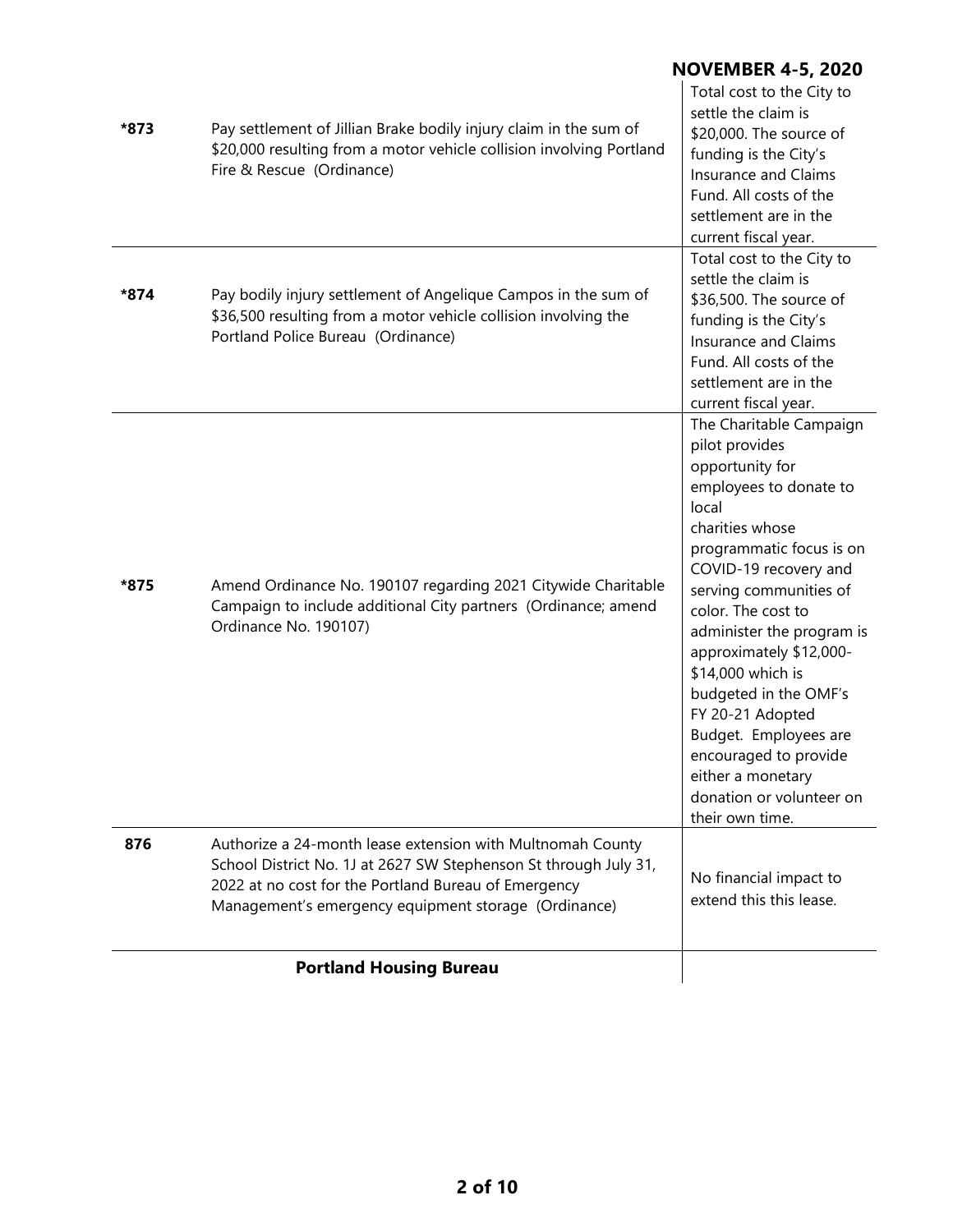|      | <b>Portland Housing Bureau</b>                                                                                                                                                                                                                 |                                                                                                                                                                                                                                                                                                                                                                                                                                                                         |
|------|------------------------------------------------------------------------------------------------------------------------------------------------------------------------------------------------------------------------------------------------|-------------------------------------------------------------------------------------------------------------------------------------------------------------------------------------------------------------------------------------------------------------------------------------------------------------------------------------------------------------------------------------------------------------------------------------------------------------------------|
| 876  | Authorize a 24-month lease extension with Multnomah County<br>School District No. 1J at 2627 SW Stephenson St through July 31,<br>2022 at no cost for the Portland Bureau of Emergency<br>Management's emergency equipment storage (Ordinance) | No financial impact to<br>extend this this lease.                                                                                                                                                                                                                                                                                                                                                                                                                       |
| *875 | Amend Ordinance No. 190107 regarding 2021 Citywide Charitable<br>Campaign to include additional City partners (Ordinance; amend<br>Ordinance No. 190107)                                                                                       | The Charitable Campaign<br>pilot provides<br>opportunity for<br>employees to donate to<br>local<br>charities whose<br>programmatic focus is on<br>COVID-19 recovery and<br>serving communities of<br>color. The cost to<br>administer the program is<br>approximately \$12,000-<br>\$14,000 which is<br>budgeted in the OMF's<br>FY 20-21 Adopted<br>Budget. Employees are<br>encouraged to provide<br>either a monetary<br>donation or volunteer on<br>their own time. |
| *874 | Pay bodily injury settlement of Angelique Campos in the sum of<br>\$36,500 resulting from a motor vehicle collision involving the<br>Portland Police Bureau (Ordinance)                                                                        | current fiscal year.<br>Total cost to the City to<br>settle the claim is<br>\$36,500. The source of<br>funding is the City's<br>Insurance and Claims<br>Fund. All costs of the<br>settlement are in the<br>current fiscal year.                                                                                                                                                                                                                                         |
| *873 | Pay settlement of Jillian Brake bodily injury claim in the sum of<br>\$20,000 resulting from a motor vehicle collision involving Portland<br>Fire & Rescue (Ordinance)                                                                         | <b>NOVEMBER 4-5, 2020</b><br>Total cost to the City to<br>settle the claim is<br>\$20,000. The source of<br>funding is the City's<br>Insurance and Claims<br>Fund. All costs of the<br>settlement are in the                                                                                                                                                                                                                                                            |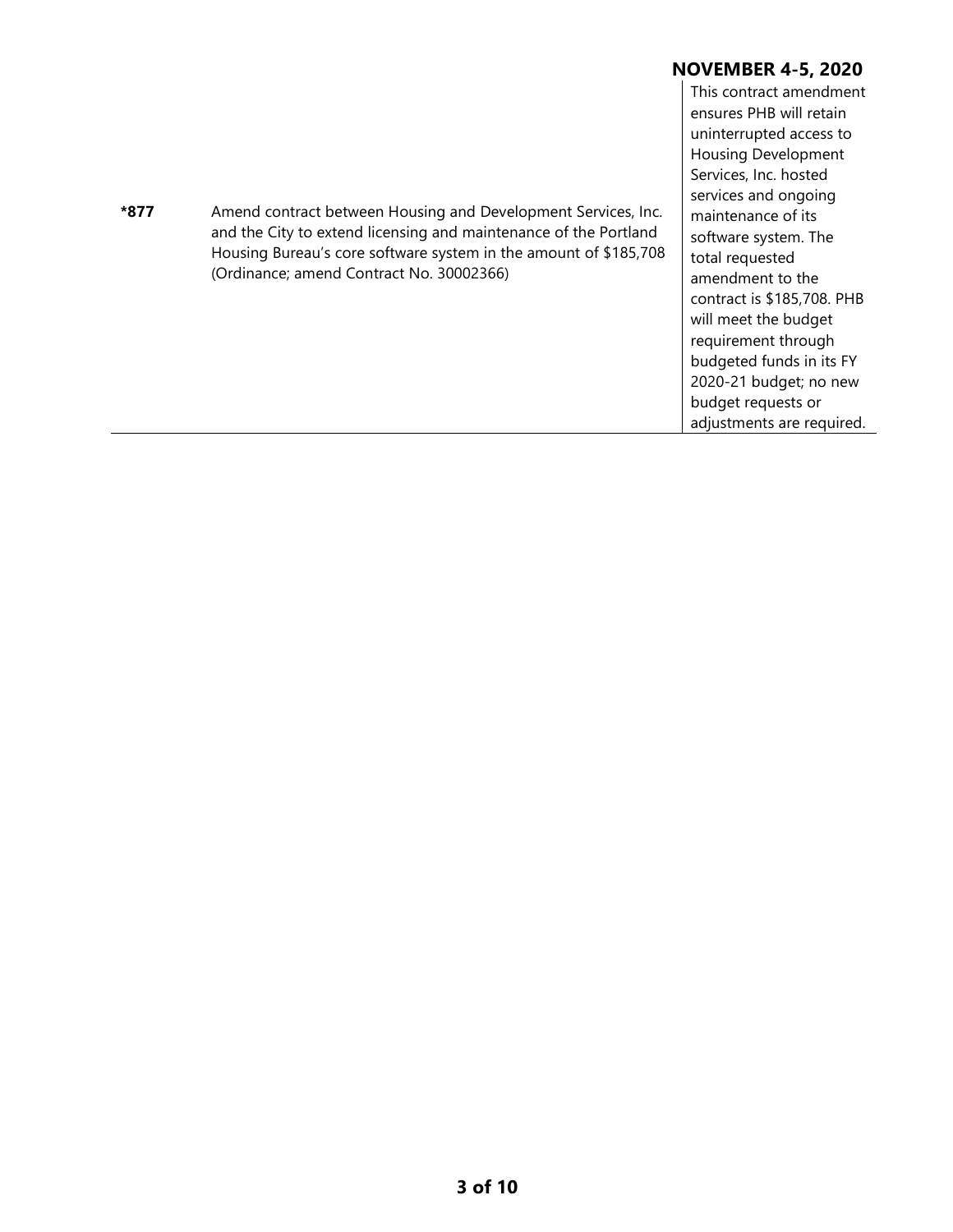This contract amendment ensures PHB will retain uninterrupted access to Housing Development Services, Inc. hosted services and ongoing maintenance of its software system. The total requested amendment to the contract is \$185,708. PHB will meet the budget requirement through budgeted funds in its FY 2020-21 budget; no new budget requests or adjustments are required.

**\*877** Amend contract between Housing and Development Services, Inc. and the City to extend licensing and maintenance of the Portland Housing Bureau's core software system in the amount of \$185,708 (Ordinance; amend Contract No. 30002366)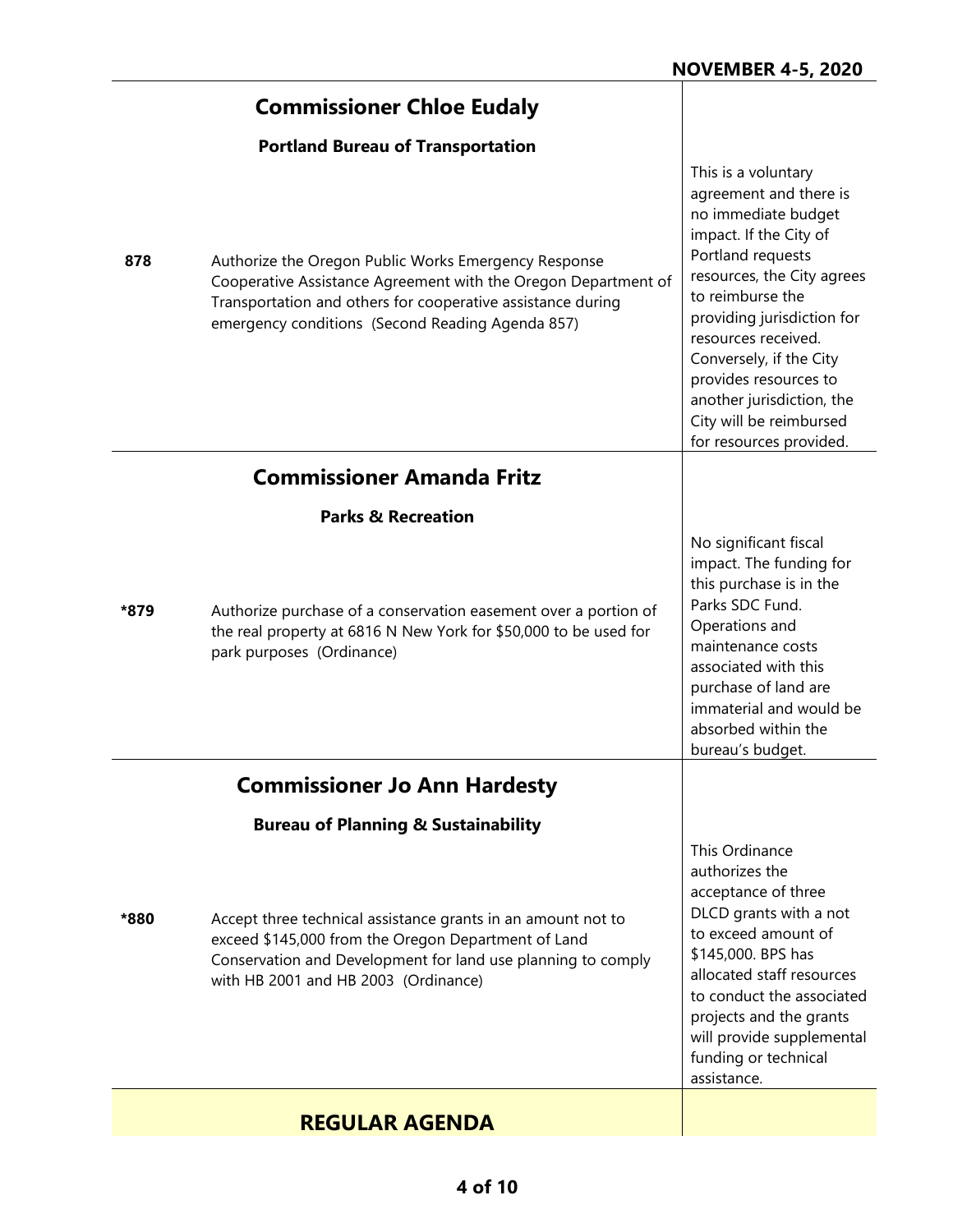|      | <b>Commissioner Chloe Eudaly</b>                                                                                                                                                                                                          |                                                                                                                                                                                                                                                                                                                                                                   |
|------|-------------------------------------------------------------------------------------------------------------------------------------------------------------------------------------------------------------------------------------------|-------------------------------------------------------------------------------------------------------------------------------------------------------------------------------------------------------------------------------------------------------------------------------------------------------------------------------------------------------------------|
|      | <b>Portland Bureau of Transportation</b>                                                                                                                                                                                                  |                                                                                                                                                                                                                                                                                                                                                                   |
| 878  | Authorize the Oregon Public Works Emergency Response<br>Cooperative Assistance Agreement with the Oregon Department of<br>Transportation and others for cooperative assistance during<br>emergency conditions (Second Reading Agenda 857) | This is a voluntary<br>agreement and there is<br>no immediate budget<br>impact. If the City of<br>Portland requests<br>resources, the City agrees<br>to reimburse the<br>providing jurisdiction for<br>resources received.<br>Conversely, if the City<br>provides resources to<br>another jurisdiction, the<br>City will be reimbursed<br>for resources provided. |
|      | <b>Commissioner Amanda Fritz</b>                                                                                                                                                                                                          |                                                                                                                                                                                                                                                                                                                                                                   |
|      | <b>Parks &amp; Recreation</b>                                                                                                                                                                                                             |                                                                                                                                                                                                                                                                                                                                                                   |
| *879 | Authorize purchase of a conservation easement over a portion of<br>the real property at 6816 N New York for \$50,000 to be used for<br>park purposes (Ordinance)                                                                          | No significant fiscal<br>impact. The funding for<br>this purchase is in the<br>Parks SDC Fund.<br>Operations and<br>maintenance costs<br>associated with this<br>purchase of land are<br>immaterial and would be<br>absorbed within the<br>bureau's budget.                                                                                                       |
|      | <b>Commissioner Jo Ann Hardesty</b>                                                                                                                                                                                                       |                                                                                                                                                                                                                                                                                                                                                                   |
|      | <b>Bureau of Planning &amp; Sustainability</b>                                                                                                                                                                                            |                                                                                                                                                                                                                                                                                                                                                                   |
| *880 | Accept three technical assistance grants in an amount not to<br>exceed \$145,000 from the Oregon Department of Land<br>Conservation and Development for land use planning to comply<br>with HB 2001 and HB 2003 (Ordinance)               | This Ordinance<br>authorizes the<br>acceptance of three<br>DLCD grants with a not<br>to exceed amount of<br>\$145,000. BPS has<br>allocated staff resources<br>to conduct the associated<br>projects and the grants<br>will provide supplemental<br>funding or technical<br>assistance.                                                                           |
|      | <b>REGULAR AGENDA</b>                                                                                                                                                                                                                     |                                                                                                                                                                                                                                                                                                                                                                   |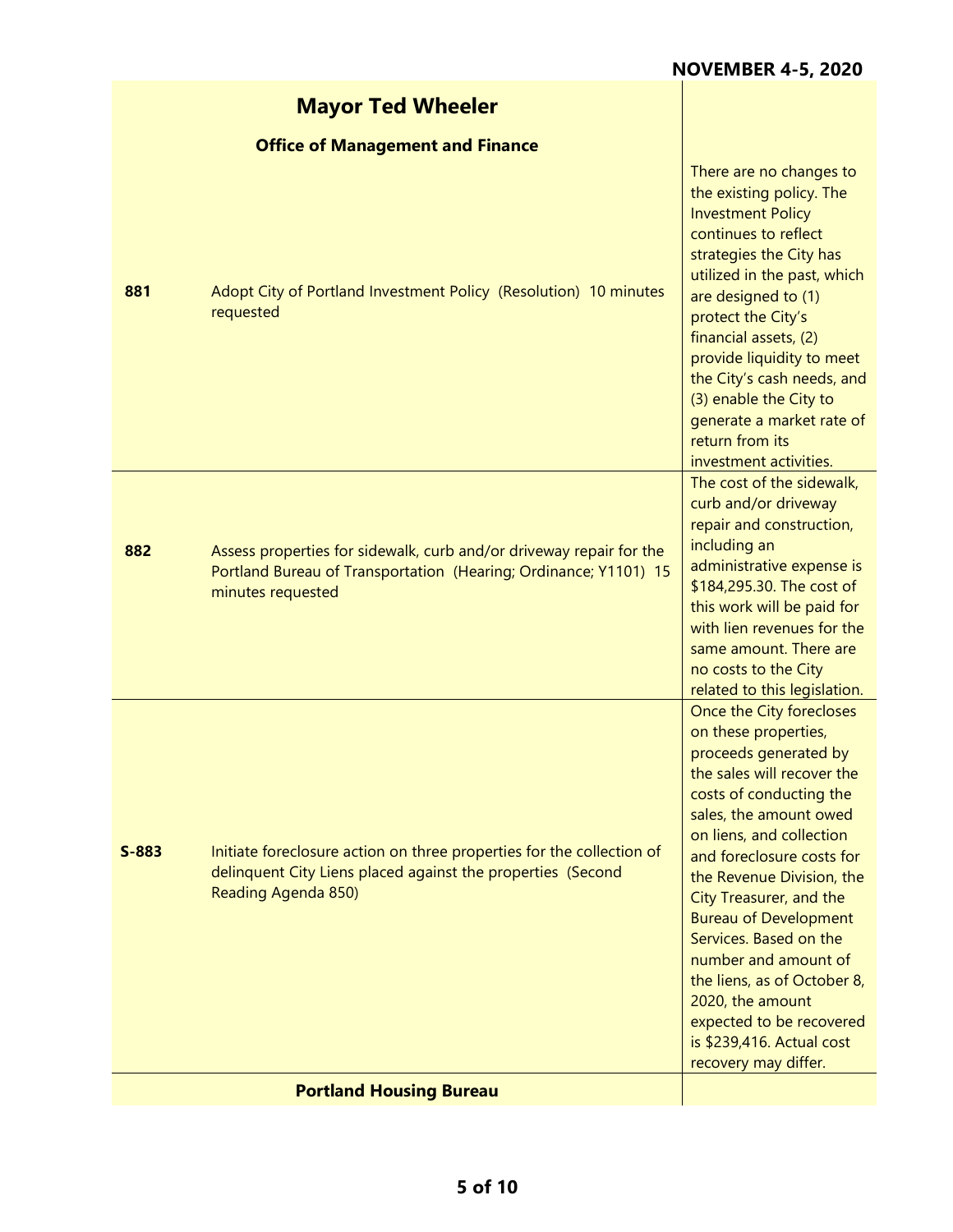|         | <b>Mayor Ted Wheeler</b>                                                                                                                                     |                                                                                                                                                                                                                                                                                                                                                                                                                                                                                                     |
|---------|--------------------------------------------------------------------------------------------------------------------------------------------------------------|-----------------------------------------------------------------------------------------------------------------------------------------------------------------------------------------------------------------------------------------------------------------------------------------------------------------------------------------------------------------------------------------------------------------------------------------------------------------------------------------------------|
|         | <b>Office of Management and Finance</b>                                                                                                                      |                                                                                                                                                                                                                                                                                                                                                                                                                                                                                                     |
| 881     | Adopt City of Portland Investment Policy (Resolution) 10 minutes<br>requested                                                                                | There are no changes to<br>the existing policy. The<br><b>Investment Policy</b><br>continues to reflect<br>strategies the City has<br>utilized in the past, which<br>are designed to (1)<br>protect the City's<br>financial assets, (2)<br>provide liquidity to meet<br>the City's cash needs, and<br>(3) enable the City to<br>generate a market rate of<br>return from its<br>investment activities.                                                                                              |
| 882     | Assess properties for sidewalk, curb and/or driveway repair for the<br>Portland Bureau of Transportation (Hearing; Ordinance; Y1101) 15<br>minutes requested | The cost of the sidewalk,<br>curb and/or driveway<br>repair and construction,<br>including an<br>administrative expense is<br>\$184,295.30. The cost of<br>this work will be paid for<br>with lien revenues for the<br>same amount. There are<br>no costs to the City<br>related to this legislation.                                                                                                                                                                                               |
| $S-883$ | Initiate foreclosure action on three properties for the collection of<br>delinquent City Liens placed against the properties (Second<br>Reading Agenda 850)  | Once the City forecloses<br>on these properties,<br>proceeds generated by<br>the sales will recover the<br>costs of conducting the<br>sales, the amount owed<br>on liens, and collection<br>and foreclosure costs for<br>the Revenue Division, the<br>City Treasurer, and the<br><b>Bureau of Development</b><br>Services. Based on the<br>number and amount of<br>the liens, as of October 8,<br>2020, the amount<br>expected to be recovered<br>is \$239,416. Actual cost<br>recovery may differ. |
|         | <b>Portland Housing Bureau</b>                                                                                                                               |                                                                                                                                                                                                                                                                                                                                                                                                                                                                                                     |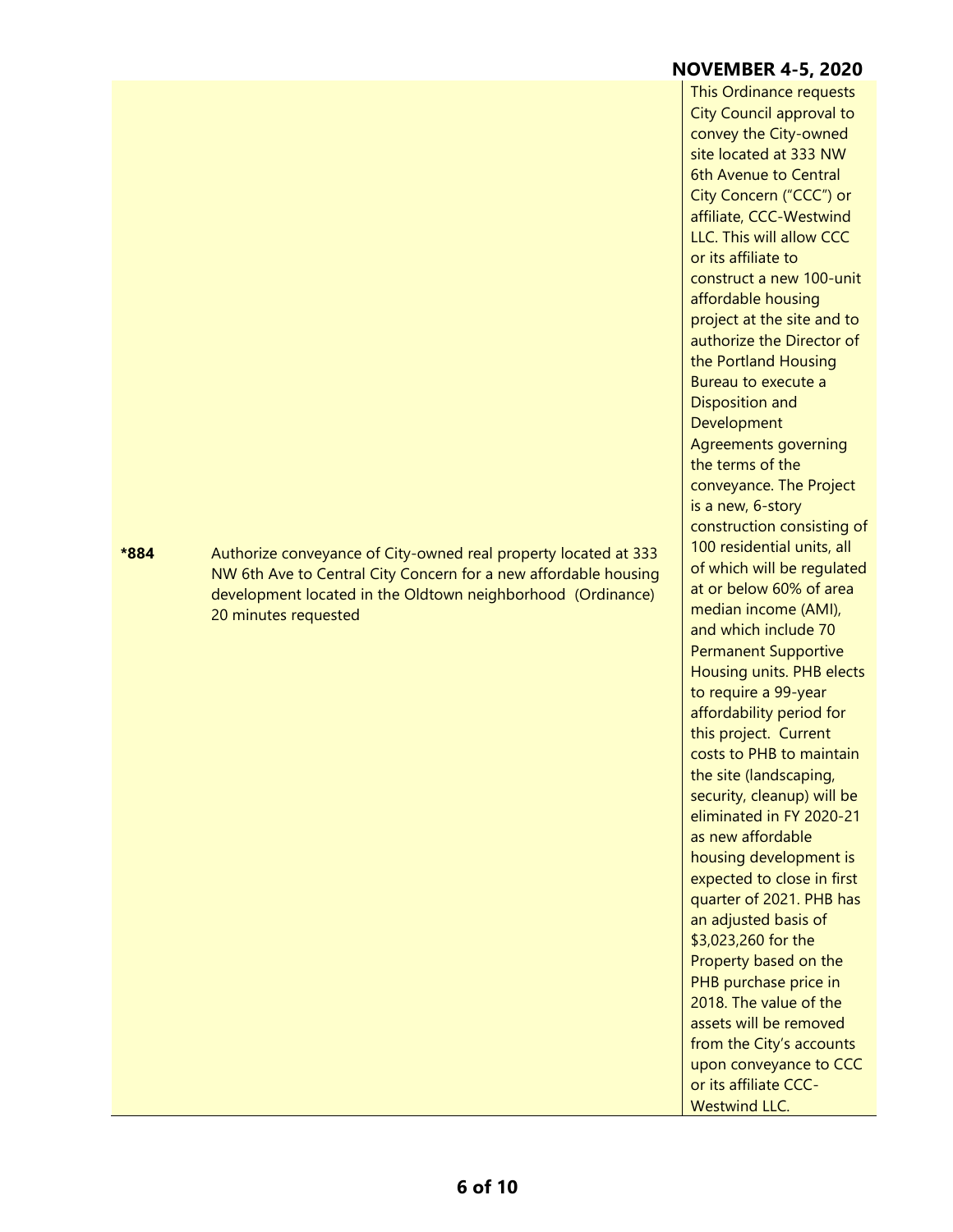## **\*884** Authorize conveyance of City-owned real property located at 333 NW 6th Ave to Central City Concern for a new affordable housing development located in the Oldtown neighborhood (Ordinance) 20 minutes requested

**NOVEMBER 4-5, 2020** This Ordinance requests City Council approval to convey the City-owned site located at 333 NW 6th Avenue to Central City Concern ("CCC") or affiliate, CCC-Westwind LLC. This will allow CCC or its affiliate to construct a new 100-unit affordable housing project at the site and to authorize the Director of the Portland Housing Bureau to execute a Disposition and **Development** Agreements governing the terms of the conveyance. The Project is a new, 6-story construction consisting of 100 residential units, all of which will be regulated at or below 60% of area median income (AMI), and which include 70 Permanent Supportive Housing units. PHB elects to require a 99-year affordability period for this project. Current costs to PHB to maintain the site (landscaping, security, cleanup) will be eliminated in FY 2020-21 as new affordable housing development is expected to close in first quarter of 2021. PHB has an adjusted basis of \$3,023,260 for the Property based on the PHB purchase price in 2018. The value of the assets will be removed from the City's accounts upon conveyance to CCC or its affiliate CCC-

Westwind LLC.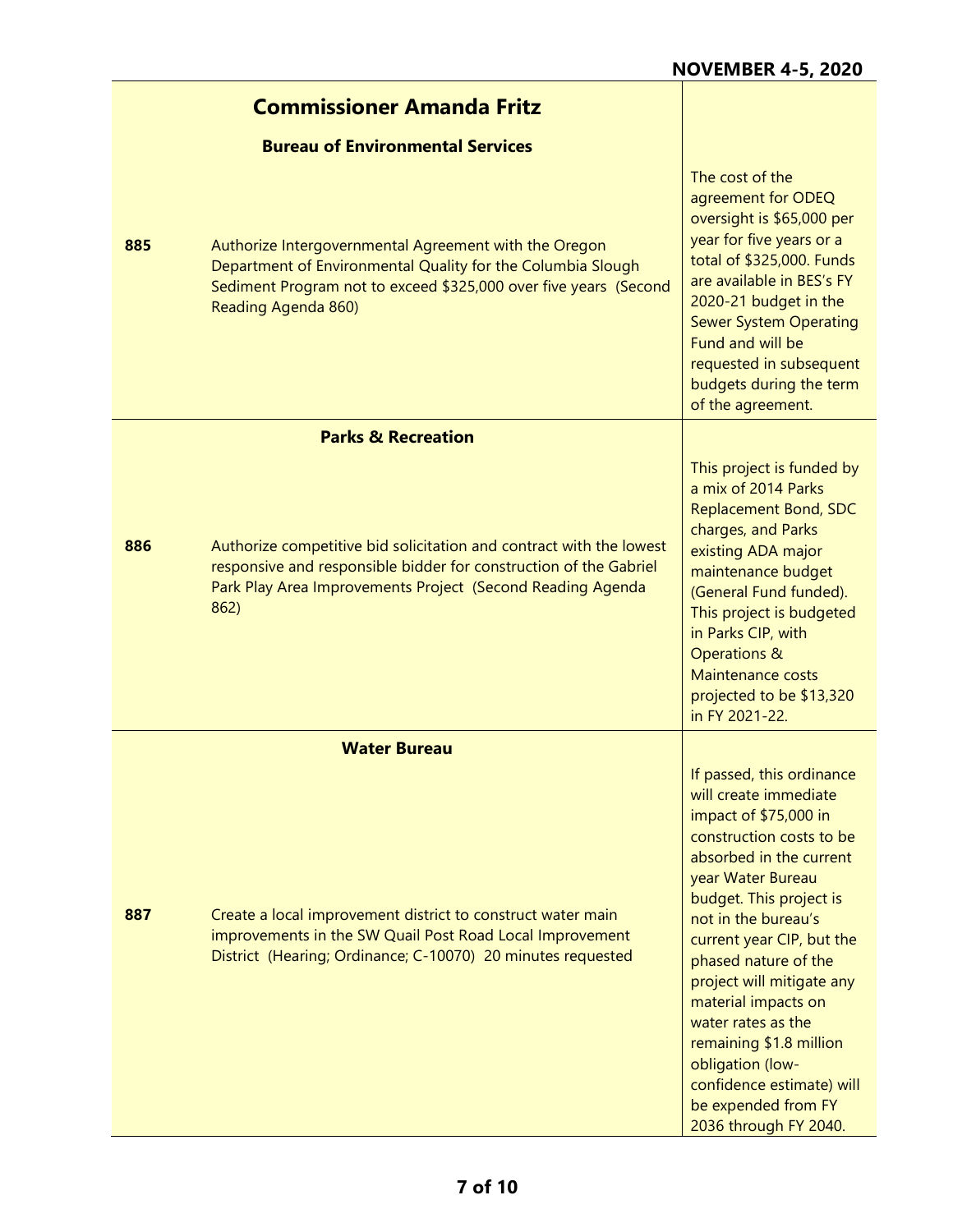|     | <b>Commissioner Amanda Fritz</b>                                                                                                                                                                                |                                                                                                                                                                                                                                                                                                                                                                                                                                                                      |
|-----|-----------------------------------------------------------------------------------------------------------------------------------------------------------------------------------------------------------------|----------------------------------------------------------------------------------------------------------------------------------------------------------------------------------------------------------------------------------------------------------------------------------------------------------------------------------------------------------------------------------------------------------------------------------------------------------------------|
|     | <b>Bureau of Environmental Services</b>                                                                                                                                                                         |                                                                                                                                                                                                                                                                                                                                                                                                                                                                      |
| 885 | Authorize Intergovernmental Agreement with the Oregon<br>Department of Environmental Quality for the Columbia Slough<br>Sediment Program not to exceed \$325,000 over five years (Second<br>Reading Agenda 860) | The cost of the<br>agreement for ODEQ<br>oversight is \$65,000 per<br>year for five years or a<br>total of \$325,000. Funds<br>are available in BES's FY<br>2020-21 budget in the<br><b>Sewer System Operating</b><br>Fund and will be<br>requested in subsequent<br>budgets during the term<br>of the agreement.                                                                                                                                                    |
|     | <b>Parks &amp; Recreation</b>                                                                                                                                                                                   |                                                                                                                                                                                                                                                                                                                                                                                                                                                                      |
| 886 | Authorize competitive bid solicitation and contract with the lowest<br>responsive and responsible bidder for construction of the Gabriel<br>Park Play Area Improvements Project (Second Reading Agenda<br>862)  | This project is funded by<br>a mix of 2014 Parks<br><b>Replacement Bond, SDC</b><br>charges, and Parks<br>existing ADA major<br>maintenance budget<br>(General Fund funded).<br>This project is budgeted<br>in Parks CIP, with<br><b>Operations &amp;</b><br><b>Maintenance costs</b><br>projected to be \$13,320<br>in FY 2021-22.                                                                                                                                  |
|     | <b>Water Bureau</b>                                                                                                                                                                                             |                                                                                                                                                                                                                                                                                                                                                                                                                                                                      |
| 887 | Create a local improvement district to construct water main<br>improvements in the SW Quail Post Road Local Improvement<br>District (Hearing; Ordinance; C-10070) 20 minutes requested                          | If passed, this ordinance<br>will create immediate<br>impact of \$75,000 in<br>construction costs to be<br>absorbed in the current<br>year Water Bureau<br>budget. This project is<br>not in the bureau's<br>current year CIP, but the<br>phased nature of the<br>project will mitigate any<br>material impacts on<br>water rates as the<br>remaining \$1.8 million<br>obligation (low-<br>confidence estimate) will<br>be expended from FY<br>2036 through FY 2040. |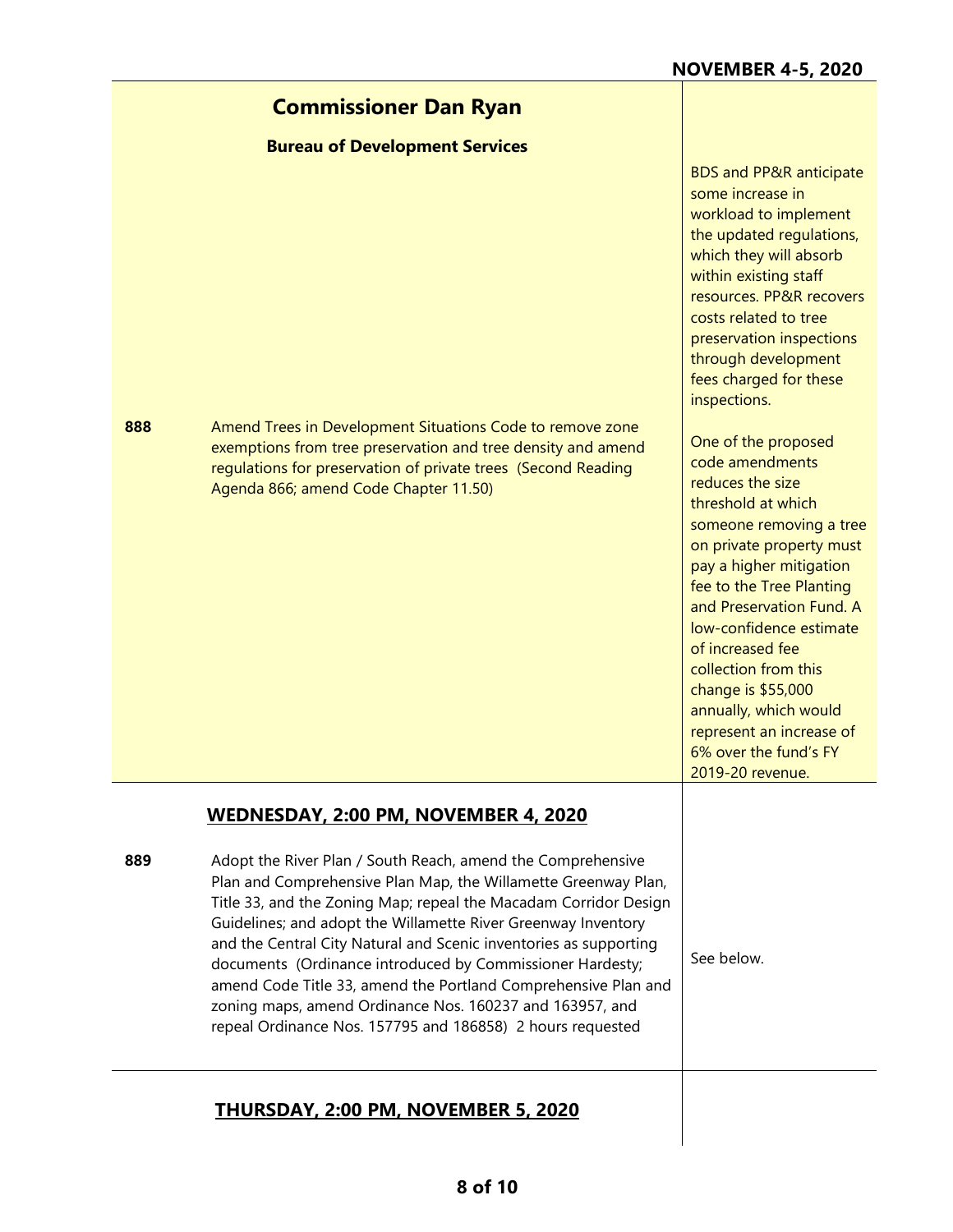|     | <b>Commissioner Dan Ryan</b>                                                                                                                                                                                                                                                                                                                                                                                                                                                                                                                                                                     |                                                                                                                                                                                                                                                                                                                                                                                                                           |
|-----|--------------------------------------------------------------------------------------------------------------------------------------------------------------------------------------------------------------------------------------------------------------------------------------------------------------------------------------------------------------------------------------------------------------------------------------------------------------------------------------------------------------------------------------------------------------------------------------------------|---------------------------------------------------------------------------------------------------------------------------------------------------------------------------------------------------------------------------------------------------------------------------------------------------------------------------------------------------------------------------------------------------------------------------|
|     | <b>Bureau of Development Services</b>                                                                                                                                                                                                                                                                                                                                                                                                                                                                                                                                                            |                                                                                                                                                                                                                                                                                                                                                                                                                           |
|     |                                                                                                                                                                                                                                                                                                                                                                                                                                                                                                                                                                                                  | <b>BDS and PP&amp;R anticipate</b><br>some increase in<br>workload to implement<br>the updated regulations,<br>which they will absorb<br>within existing staff<br>resources. PP&R recovers<br>costs related to tree<br>preservation inspections<br>through development<br>fees charged for these<br>inspections.                                                                                                          |
| 888 | Amend Trees in Development Situations Code to remove zone<br>exemptions from tree preservation and tree density and amend<br>regulations for preservation of private trees (Second Reading<br>Agenda 866; amend Code Chapter 11.50)                                                                                                                                                                                                                                                                                                                                                              | One of the proposed<br>code amendments<br>reduces the size<br>threshold at which<br>someone removing a tree<br>on private property must<br>pay a higher mitigation<br>fee to the Tree Planting<br>and Preservation Fund. A<br>low-confidence estimate<br>of increased fee<br>collection from this<br>change is \$55,000<br>annually, which would<br>represent an increase of<br>6% over the fund's FY<br>2019-20 revenue. |
|     | WEDNESDAY, 2:00 PM, NOVEMBER 4, 2020                                                                                                                                                                                                                                                                                                                                                                                                                                                                                                                                                             |                                                                                                                                                                                                                                                                                                                                                                                                                           |
| 889 | Adopt the River Plan / South Reach, amend the Comprehensive<br>Plan and Comprehensive Plan Map, the Willamette Greenway Plan,<br>Title 33, and the Zoning Map; repeal the Macadam Corridor Design<br>Guidelines; and adopt the Willamette River Greenway Inventory<br>and the Central City Natural and Scenic inventories as supporting<br>documents (Ordinance introduced by Commissioner Hardesty;<br>amend Code Title 33, amend the Portland Comprehensive Plan and<br>zoning maps, amend Ordinance Nos. 160237 and 163957, and<br>repeal Ordinance Nos. 157795 and 186858) 2 hours requested | See below.                                                                                                                                                                                                                                                                                                                                                                                                                |
|     | <b>THURSDAY, 2:00 PM, NOVEMBER 5, 2020</b>                                                                                                                                                                                                                                                                                                                                                                                                                                                                                                                                                       |                                                                                                                                                                                                                                                                                                                                                                                                                           |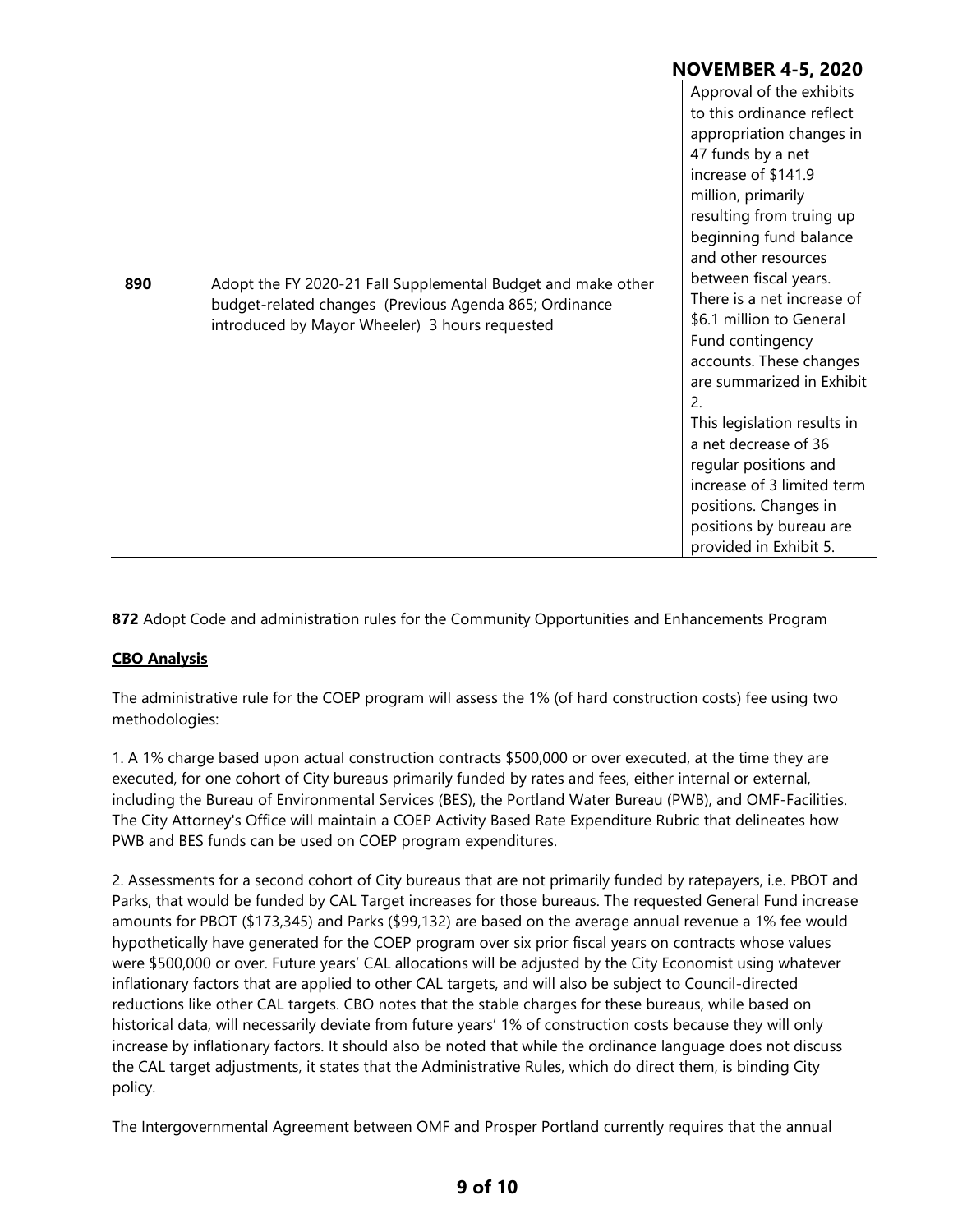|     |                                                                                                                                                                          | NOVEMBER 4-5, 2020                                                                                                                                                                                                                                                                                                                                                                                                                                                                                                                                                                                |
|-----|--------------------------------------------------------------------------------------------------------------------------------------------------------------------------|---------------------------------------------------------------------------------------------------------------------------------------------------------------------------------------------------------------------------------------------------------------------------------------------------------------------------------------------------------------------------------------------------------------------------------------------------------------------------------------------------------------------------------------------------------------------------------------------------|
| 890 | Adopt the FY 2020-21 Fall Supplemental Budget and make other<br>budget-related changes (Previous Agenda 865; Ordinance<br>introduced by Mayor Wheeler) 3 hours requested | Approval of the exhibits<br>to this ordinance reflect<br>appropriation changes in<br>47 funds by a net<br>increase of \$141.9<br>million, primarily<br>resulting from truing up<br>beginning fund balance<br>and other resources<br>between fiscal years.<br>There is a net increase of<br>\$6.1 million to General<br>Fund contingency<br>accounts. These changes<br>are summarized in Exhibit<br>2.<br>This legislation results in<br>a net decrease of 36<br>regular positions and<br>increase of 3 limited term<br>positions. Changes in<br>positions by bureau are<br>provided in Exhibit 5. |

**872** Adopt Code and administration rules for the Community Opportunities and Enhancements Program

#### **CBO Analysis**

The administrative rule for the COEP program will assess the 1% (of hard construction costs) fee using two methodologies:

1. A 1% charge based upon actual construction contracts \$500,000 or over executed, at the time they are executed, for one cohort of City bureaus primarily funded by rates and fees, either internal or external, including the Bureau of Environmental Services (BES), the Portland Water Bureau (PWB), and OMF-Facilities. The City Attorney's Office will maintain a COEP Activity Based Rate Expenditure Rubric that delineates how PWB and BES funds can be used on COEP program expenditures.

2. Assessments for a second cohort of City bureaus that are not primarily funded by ratepayers, i.e. PBOT and Parks, that would be funded by CAL Target increases for those bureaus. The requested General Fund increase amounts for PBOT (\$173,345) and Parks (\$99,132) are based on the average annual revenue a 1% fee would hypothetically have generated for the COEP program over six prior fiscal years on contracts whose values were \$500,000 or over. Future years' CAL allocations will be adjusted by the City Economist using whatever inflationary factors that are applied to other CAL targets, and will also be subject to Council-directed reductions like other CAL targets. CBO notes that the stable charges for these bureaus, while based on historical data, will necessarily deviate from future years' 1% of construction costs because they will only increase by inflationary factors. It should also be noted that while the ordinance language does not discuss the CAL target adjustments, it states that the Administrative Rules, which do direct them, is binding City policy.

The Intergovernmental Agreement between OMF and Prosper Portland currently requires that the annual